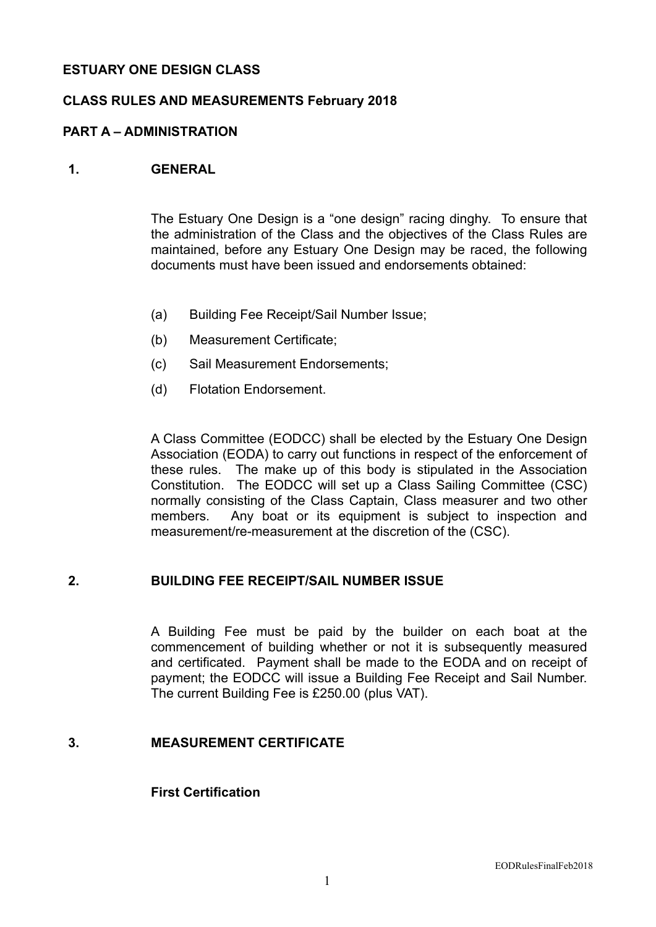## **ESTUARY ONE DESIGN CLASS**

#### **CLASS RULES AND MEASUREMENTS February 2018**

#### **PART A – ADMINISTRATION**

#### **1. GENERAL**

The Estuary One Design is a "one design" racing dinghy. To ensure that the administration of the Class and the objectives of the Class Rules are maintained, before any Estuary One Design may be raced, the following documents must have been issued and endorsements obtained:

- (a) Building Fee Receipt/Sail Number Issue;
- (b) Measurement Certificate;
- (c) Sail Measurement Endorsements;
- (d) Flotation Endorsement.

A Class Committee (EODCC) shall be elected by the Estuary One Design Association (EODA) to carry out functions in respect of the enforcement of these rules. The make up of this body is stipulated in the Association Constitution. The EODCC will set up a Class Sailing Committee (CSC) normally consisting of the Class Captain, Class measurer and two other members. Any boat or its equipment is subject to inspection and measurement/re-measurement at the discretion of the (CSC).

#### **2. BUILDING FEE RECEIPT/SAIL NUMBER ISSUE**

A Building Fee must be paid by the builder on each boat at the commencement of building whether or not it is subsequently measured and certificated. Payment shall be made to the EODA and on receipt of payment; the EODCC will issue a Building Fee Receipt and Sail Number. The current Building Fee is £250.00 (plus VAT).

#### **3. MEASUREMENT CERTIFICATE**

#### **First Certification**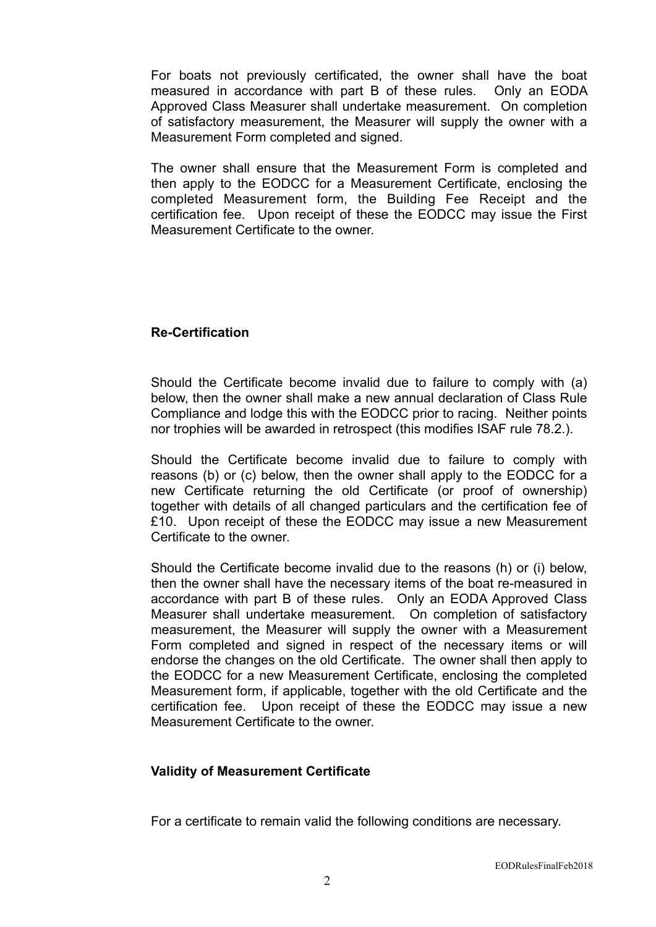For boats not previously certificated, the owner shall have the boat measured in accordance with part B of these rules. Only an EODA Approved Class Measurer shall undertake measurement. On completion of satisfactory measurement, the Measurer will supply the owner with a Measurement Form completed and signed.

The owner shall ensure that the Measurement Form is completed and then apply to the EODCC for a Measurement Certificate, enclosing the completed Measurement form, the Building Fee Receipt and the certification fee. Upon receipt of these the EODCC may issue the First Measurement Certificate to the owner.

## **Re-Certification**

Should the Certificate become invalid due to failure to comply with (a) below, then the owner shall make a new annual declaration of Class Rule Compliance and lodge this with the EODCC prior to racing. Neither points nor trophies will be awarded in retrospect (this modifies ISAF rule 78.2.).

Should the Certificate become invalid due to failure to comply with reasons (b) or (c) below, then the owner shall apply to the EODCC for a new Certificate returning the old Certificate (or proof of ownership) together with details of all changed particulars and the certification fee of £10. Upon receipt of these the EODCC may issue a new Measurement Certificate to the owner.

Should the Certificate become invalid due to the reasons (h) or (i) below, then the owner shall have the necessary items of the boat re-measured in accordance with part B of these rules. Only an EODA Approved Class Measurer shall undertake measurement. On completion of satisfactory measurement, the Measurer will supply the owner with a Measurement Form completed and signed in respect of the necessary items or will endorse the changes on the old Certificate. The owner shall then apply to the EODCC for a new Measurement Certificate, enclosing the completed Measurement form, if applicable, together with the old Certificate and the certification fee. Upon receipt of these the EODCC may issue a new Measurement Certificate to the owner.

#### **Validity of Measurement Certificate**

For a certificate to remain valid the following conditions are necessary.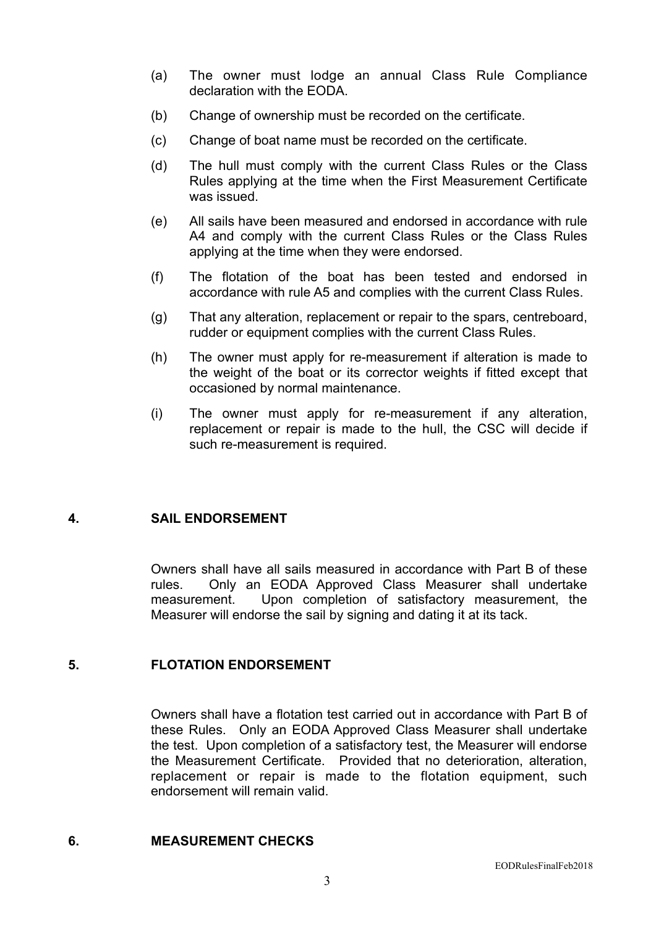- (a) The owner must lodge an annual Class Rule Compliance declaration with the EODA.
- (b) Change of ownership must be recorded on the certificate.
- (c) Change of boat name must be recorded on the certificate.
- (d) The hull must comply with the current Class Rules or the Class Rules applying at the time when the First Measurement Certificate was issued.
- (e) All sails have been measured and endorsed in accordance with rule A4 and comply with the current Class Rules or the Class Rules applying at the time when they were endorsed.
- (f) The flotation of the boat has been tested and endorsed in accordance with rule A5 and complies with the current Class Rules.
- (g) That any alteration, replacement or repair to the spars, centreboard, rudder or equipment complies with the current Class Rules.
- (h) The owner must apply for re-measurement if alteration is made to the weight of the boat or its corrector weights if fitted except that occasioned by normal maintenance.
- (i) The owner must apply for re-measurement if any alteration, replacement or repair is made to the hull, the CSC will decide if such re-measurement is required.

#### **4. SAIL ENDORSEMENT**

Owners shall have all sails measured in accordance with Part B of these rules. Only an EODA Approved Class Measurer shall undertake measurement. Upon completion of satisfactory measurement, the Measurer will endorse the sail by signing and dating it at its tack.

#### **5. FLOTATION ENDORSEMENT**

Owners shall have a flotation test carried out in accordance with Part B of these Rules. Only an EODA Approved Class Measurer shall undertake the test. Upon completion of a satisfactory test, the Measurer will endorse the Measurement Certificate. Provided that no deterioration, alteration, replacement or repair is made to the flotation equipment, such endorsement will remain valid.

## **6. MEASUREMENT CHECKS**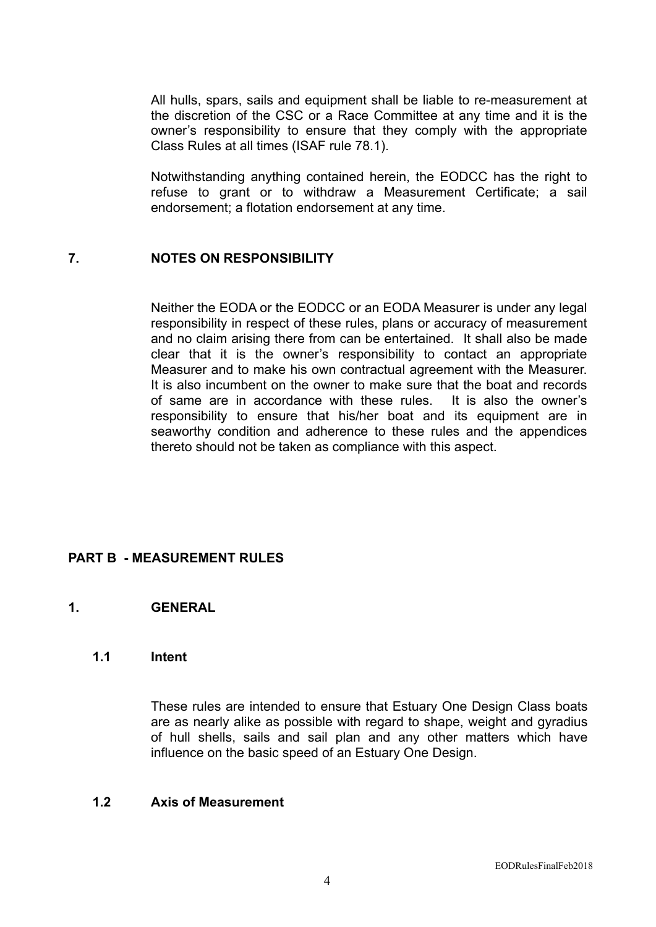All hulls, spars, sails and equipment shall be liable to re-measurement at the discretion of the CSC or a Race Committee at any time and it is the owner's responsibility to ensure that they comply with the appropriate Class Rules at all times (ISAF rule 78.1).

Notwithstanding anything contained herein, the EODCC has the right to refuse to grant or to withdraw a Measurement Certificate; a sail endorsement; a flotation endorsement at any time.

#### **7. NOTES ON RESPONSIBILITY**

Neither the EODA or the EODCC or an EODA Measurer is under any legal responsibility in respect of these rules, plans or accuracy of measurement and no claim arising there from can be entertained. It shall also be made clear that it is the owner's responsibility to contact an appropriate Measurer and to make his own contractual agreement with the Measurer. It is also incumbent on the owner to make sure that the boat and records of same are in accordance with these rules. It is also the owner's responsibility to ensure that his/her boat and its equipment are in seaworthy condition and adherence to these rules and the appendices thereto should not be taken as compliance with this aspect.

#### **PART B - MEASUREMENT RULES**

#### **1. GENERAL**

## **1.1 Intent**

These rules are intended to ensure that Estuary One Design Class boats are as nearly alike as possible with regard to shape, weight and gyradius of hull shells, sails and sail plan and any other matters which have influence on the basic speed of an Estuary One Design.

#### **1.2 Axis of Measurement**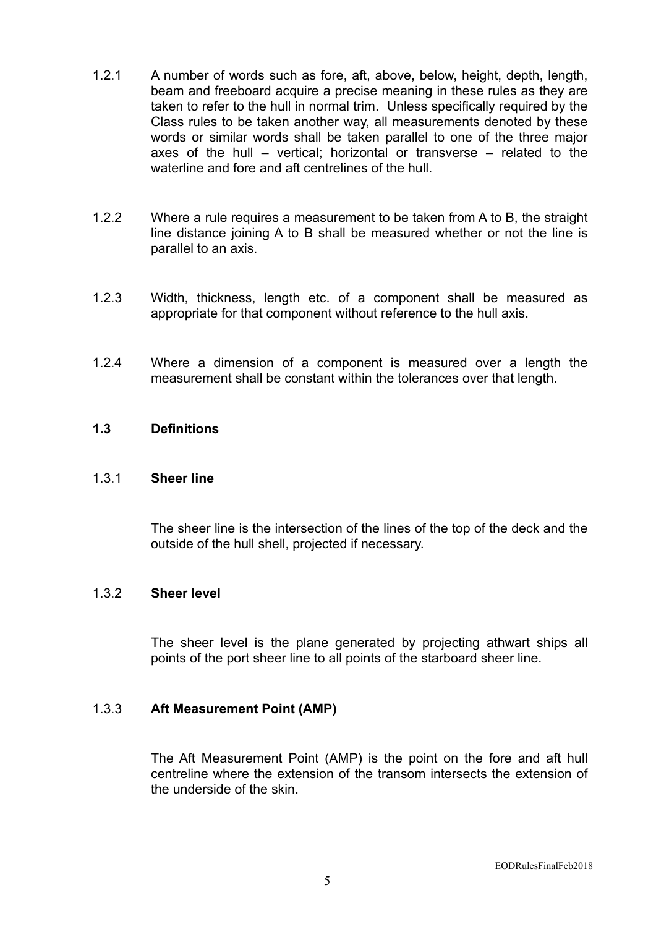- 1.2.1 A number of words such as fore, aft, above, below, height, depth, length, beam and freeboard acquire a precise meaning in these rules as they are taken to refer to the hull in normal trim. Unless specifically required by the Class rules to be taken another way, all measurements denoted by these words or similar words shall be taken parallel to one of the three major axes of the hull – vertical; horizontal or transverse – related to the waterline and fore and aft centrelines of the hull
- 1.2.2 Where a rule requires a measurement to be taken from A to B, the straight line distance joining A to B shall be measured whether or not the line is parallel to an axis.
- 1.2.3 Width, thickness, length etc. of a component shall be measured as appropriate for that component without reference to the hull axis.
- 1.2.4 Where a dimension of a component is measured over a length the measurement shall be constant within the tolerances over that length.

#### **1.3 Definitions**

#### 1.3.1 **Sheer line**

The sheer line is the intersection of the lines of the top of the deck and the outside of the hull shell, projected if necessary.

#### 1.3.2 **Sheer level**

The sheer level is the plane generated by projecting athwart ships all points of the port sheer line to all points of the starboard sheer line.

#### 1.3.3 **Aft Measurement Point (AMP)**

The Aft Measurement Point (AMP) is the point on the fore and aft hull centreline where the extension of the transom intersects the extension of the underside of the skin.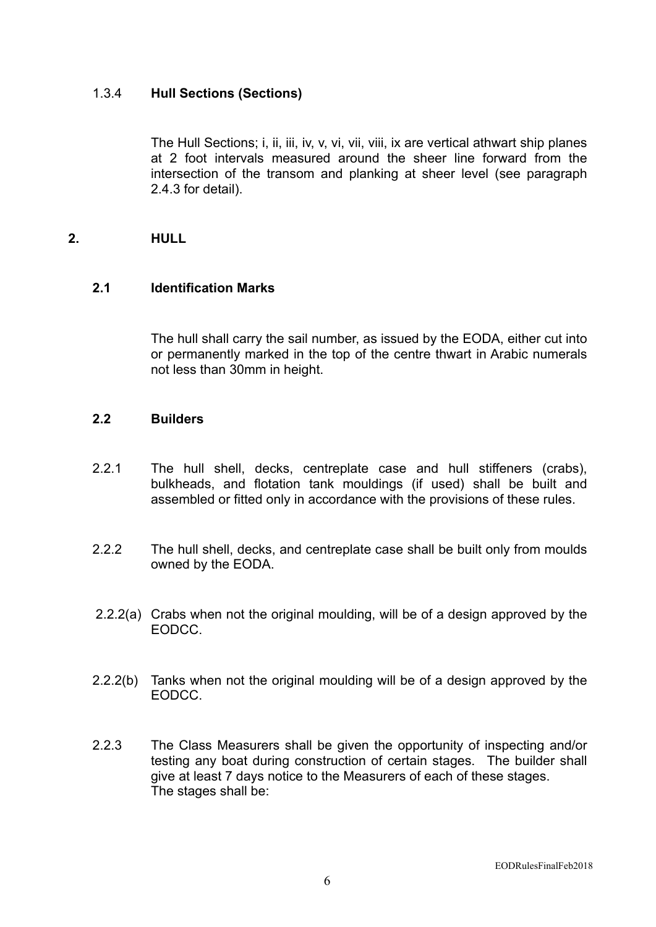## 1.3.4 **Hull Sections (Sections)**

The Hull Sections; i, ii, iii, iv, v, vi, vii, viii, ix are vertical athwart ship planes at 2 foot intervals measured around the sheer line forward from the intersection of the transom and planking at sheer level (see paragraph 2.4.3 for detail).

## **2. HULL**

## **2.1 Identification Marks**

The hull shall carry the sail number, as issued by the EODA, either cut into or permanently marked in the top of the centre thwart in Arabic numerals not less than 30mm in height.

#### **2.2 Builders**

- 2.2.1 The hull shell, decks, centreplate case and hull stiffeners (crabs), bulkheads, and flotation tank mouldings (if used) shall be built and assembled or fitted only in accordance with the provisions of these rules.
- 2.2.2 The hull shell, decks, and centreplate case shall be built only from moulds owned by the EODA.
- 2.2.2(a) Crabs when not the original moulding, will be of a design approved by the EODCC.
- 2.2.2(b) Tanks when not the original moulding will be of a design approved by the EODCC.
- 2.2.3 The Class Measurers shall be given the opportunity of inspecting and/or testing any boat during construction of certain stages. The builder shall give at least 7 days notice to the Measurers of each of these stages. The stages shall be: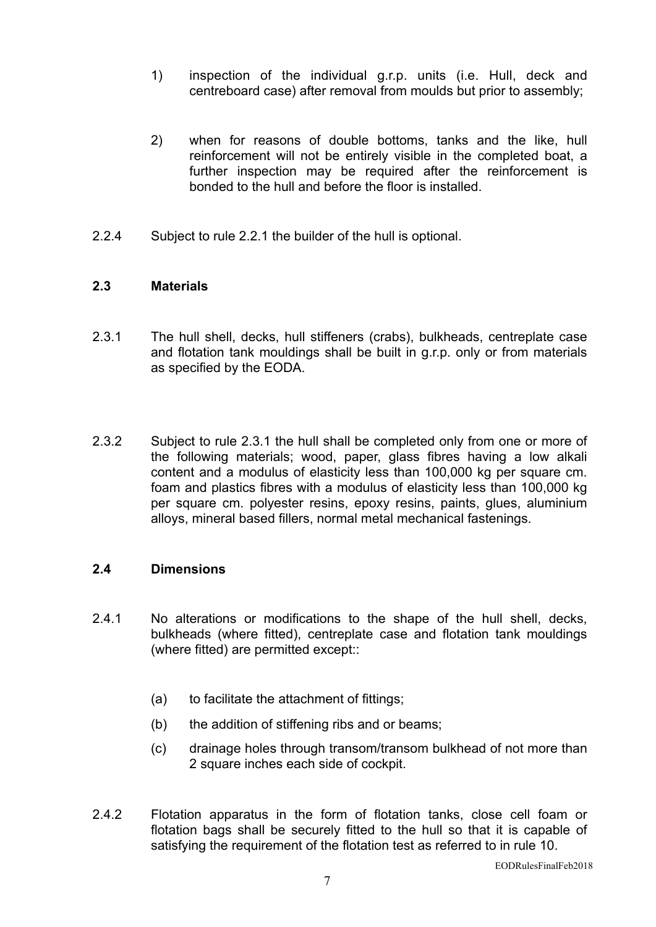- 1) inspection of the individual g.r.p. units (i.e. Hull, deck and centreboard case) after removal from moulds but prior to assembly;
- 2) when for reasons of double bottoms, tanks and the like, hull reinforcement will not be entirely visible in the completed boat, a further inspection may be required after the reinforcement is bonded to the hull and before the floor is installed.
- 2.2.4 Subject to rule 2.2.1 the builder of the hull is optional.

#### **2.3 Materials**

- 2.3.1 The hull shell, decks, hull stiffeners (crabs), bulkheads, centreplate case and flotation tank mouldings shall be built in g.r.p. only or from materials as specified by the EODA.
- 2.3.2 Subject to rule 2.3.1 the hull shall be completed only from one or more of the following materials; wood, paper, glass fibres having a low alkali content and a modulus of elasticity less than 100,000 kg per square cm. foam and plastics fibres with a modulus of elasticity less than 100,000 kg per square cm. polyester resins, epoxy resins, paints, glues, aluminium alloys, mineral based fillers, normal metal mechanical fastenings.

#### **2.4 Dimensions**

- 2.4.1 No alterations or modifications to the shape of the hull shell, decks, bulkheads (where fitted), centreplate case and flotation tank mouldings (where fitted) are permitted except::
	- (a) to facilitate the attachment of fittings;
	- (b) the addition of stiffening ribs and or beams;
	- (c) drainage holes through transom/transom bulkhead of not more than 2 square inches each side of cockpit.
- 2.4.2 Flotation apparatus in the form of flotation tanks, close cell foam or flotation bags shall be securely fitted to the hull so that it is capable of satisfying the requirement of the flotation test as referred to in rule 10.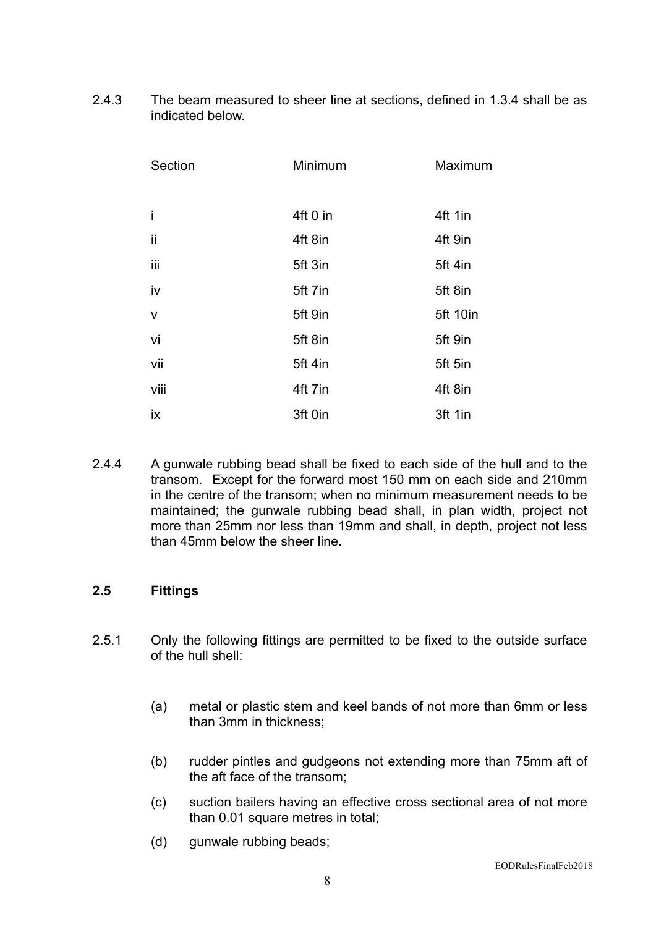2.4.3 The beam measured to sheer line at sections, defined in 1.3.4 shall be as indicated below.

| Section      | Minimum  | Maximum  |
|--------------|----------|----------|
|              |          |          |
| İ            | 4ft 0 in | 4ft 1in  |
| ii           | 4ft 8in  | 4ft 9in  |
| iii          | 5ft 3in  | 5ft 4in  |
| iv           | 5ft 7in  | 5ft 8in  |
| $\mathsf{V}$ | 5ft 9in  | 5ft 10in |
| vi           | 5ft 8in  | 5ft 9in  |
| vii          | 5ft 4in  | 5ft 5in  |
| viii         | 4ft 7in  | 4ft 8in  |
| ix           | 3ft 0in  | 3ft 1in  |

2.4.4 A gunwale rubbing bead shall be fixed to each side of the hull and to the transom. Except for the forward most 150 mm on each side and 210mm in the centre of the transom; when no minimum measurement needs to be maintained; the gunwale rubbing bead shall, in plan width, project not more than 25mm nor less than 19mm and shall, in depth, project not less than 45mm below the sheer line.

#### **2.5 Fittings**

- 2.5.1 Only the following fittings are permitted to be fixed to the outside surface of the hull shell:
	- (a) metal or plastic stem and keel bands of not more than 6mm or less than 3mm in thickness;
	- (b) rudder pintles and gudgeons not extending more than 75mm aft of the aft face of the transom;
	- (c) suction bailers having an effective cross sectional area of not more than 0.01 square metres in total;
	- (d) gunwale rubbing beads;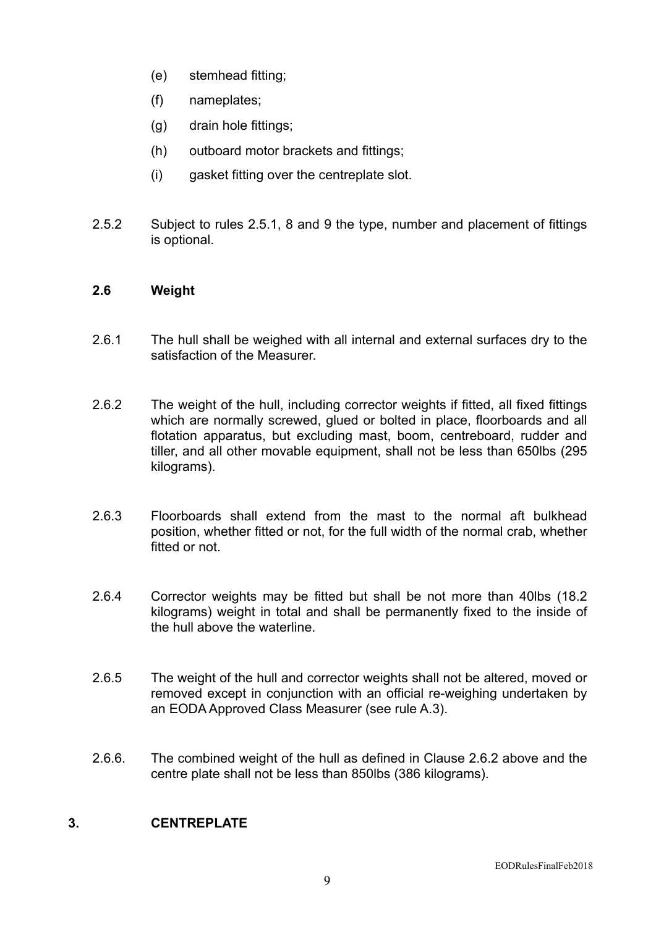- (e) stemhead fitting;
- (f) nameplates;
- (g) drain hole fittings;
- (h) outboard motor brackets and fittings;
- (i) gasket fitting over the centreplate slot.
- 2.5.2 Subject to rules 2.5.1, 8 and 9 the type, number and placement of fittings is optional.

#### **2.6 Weight**

- 2.6.1 The hull shall be weighed with all internal and external surfaces dry to the satisfaction of the Measurer.
- 2.6.2 The weight of the hull, including corrector weights if fitted, all fixed fittings which are normally screwed, glued or bolted in place, floorboards and all flotation apparatus, but excluding mast, boom, centreboard, rudder and tiller, and all other movable equipment, shall not be less than 650lbs (295 kilograms).
- 2.6.3 Floorboards shall extend from the mast to the normal aft bulkhead position, whether fitted or not, for the full width of the normal crab, whether fitted or not.
- 2.6.4 Corrector weights may be fitted but shall be not more than 40lbs (18.2 kilograms) weight in total and shall be permanently fixed to the inside of the hull above the waterline.
- 2.6.5 The weight of the hull and corrector weights shall not be altered, moved or removed except in conjunction with an official re-weighing undertaken by an EODA Approved Class Measurer (see rule A.3).
- 2.6.6. The combined weight of the hull as defined in Clause 2.6.2 above and the centre plate shall not be less than 850lbs (386 kilograms).

### **3. CENTREPLATE**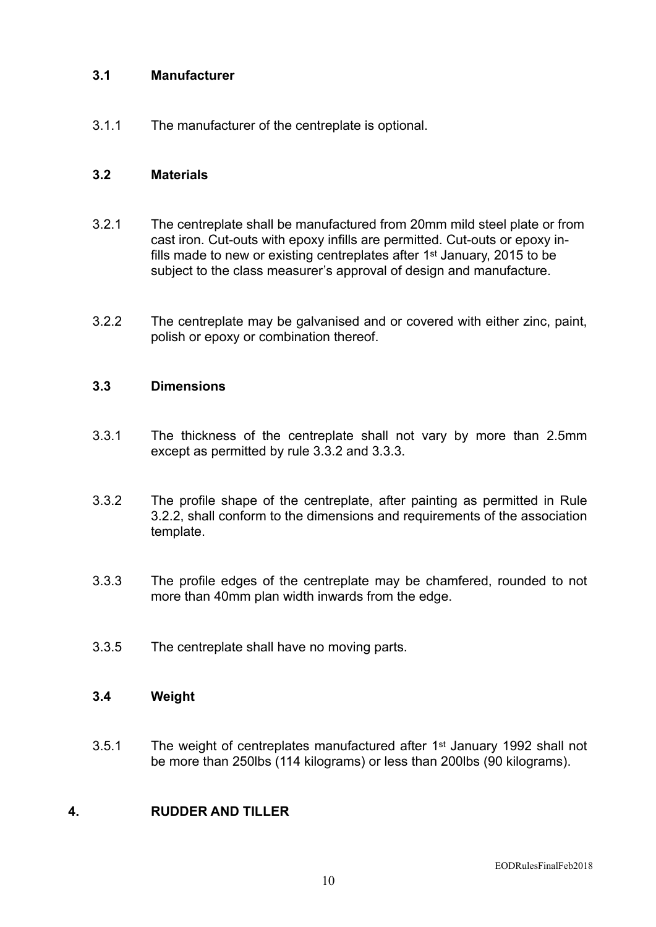## **3.1 Manufacturer**

3.1.1 The manufacturer of the centreplate is optional.

#### **3.2 Materials**

- 3.2.1 The centreplate shall be manufactured from 20mm mild steel plate or from cast iron. Cut-outs with epoxy infills are permitted. Cut-outs or epoxy infills made to new or existing centreplates after 1st January, 2015 to be subject to the class measurer's approval of design and manufacture.
- 3.2.2 The centreplate may be galvanised and or covered with either zinc, paint, polish or epoxy or combination thereof.

### **3.3 Dimensions**

- 3.3.1 The thickness of the centreplate shall not vary by more than 2.5mm except as permitted by rule 3.3.2 and 3.3.3.
- 3.3.2 The profile shape of the centreplate, after painting as permitted in Rule 3.2.2, shall conform to the dimensions and requirements of the association template.
- 3.3.3 The profile edges of the centreplate may be chamfered, rounded to not more than 40mm plan width inwards from the edge.
- 3.3.5 The centreplate shall have no moving parts.

### **3.4 Weight**

3.5.1 The weight of centreplates manufactured after 1st January 1992 shall not be more than 250lbs (114 kilograms) or less than 200lbs (90 kilograms).

#### **4. RUDDER AND TILLER**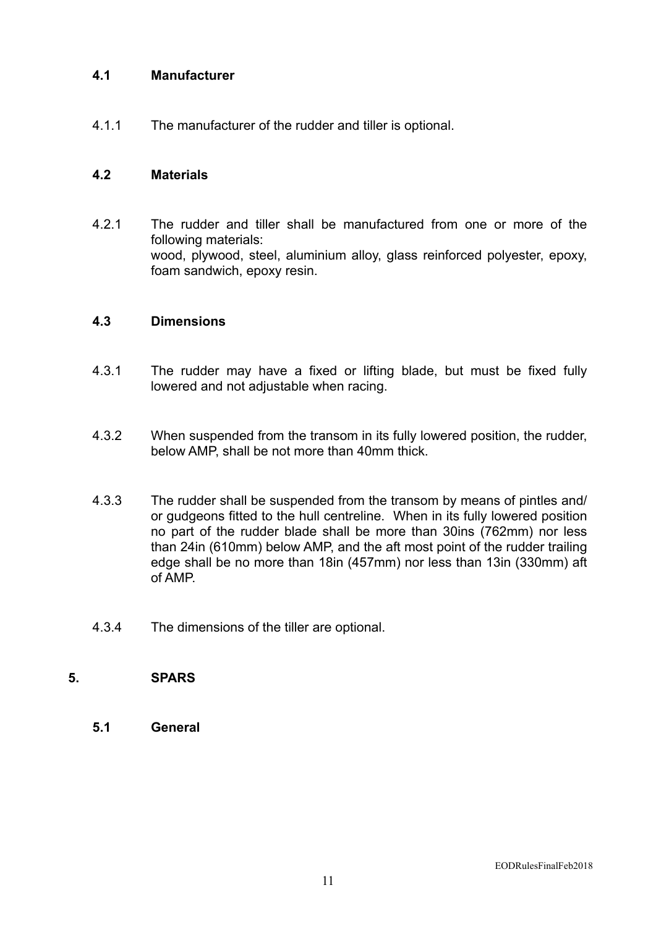## **4.1 Manufacturer**

4.1.1 The manufacturer of the rudder and tiller is optional.

#### **4.2 Materials**

4.2.1 The rudder and tiller shall be manufactured from one or more of the following materials: wood, plywood, steel, aluminium alloy, glass reinforced polyester, epoxy, foam sandwich, epoxy resin.

#### **4.3 Dimensions**

- 4.3.1 The rudder may have a fixed or lifting blade, but must be fixed fully lowered and not adjustable when racing.
- 4.3.2 When suspended from the transom in its fully lowered position, the rudder, below AMP, shall be not more than 40mm thick.
- 4.3.3 The rudder shall be suspended from the transom by means of pintles and/ or gudgeons fitted to the hull centreline. When in its fully lowered position no part of the rudder blade shall be more than 30ins (762mm) nor less than 24in (610mm) below AMP, and the aft most point of the rudder trailing edge shall be no more than 18in (457mm) nor less than 13in (330mm) aft of AMP.
- 4.3.4 The dimensions of the tiller are optional.

## **5. SPARS**

**5.1 General**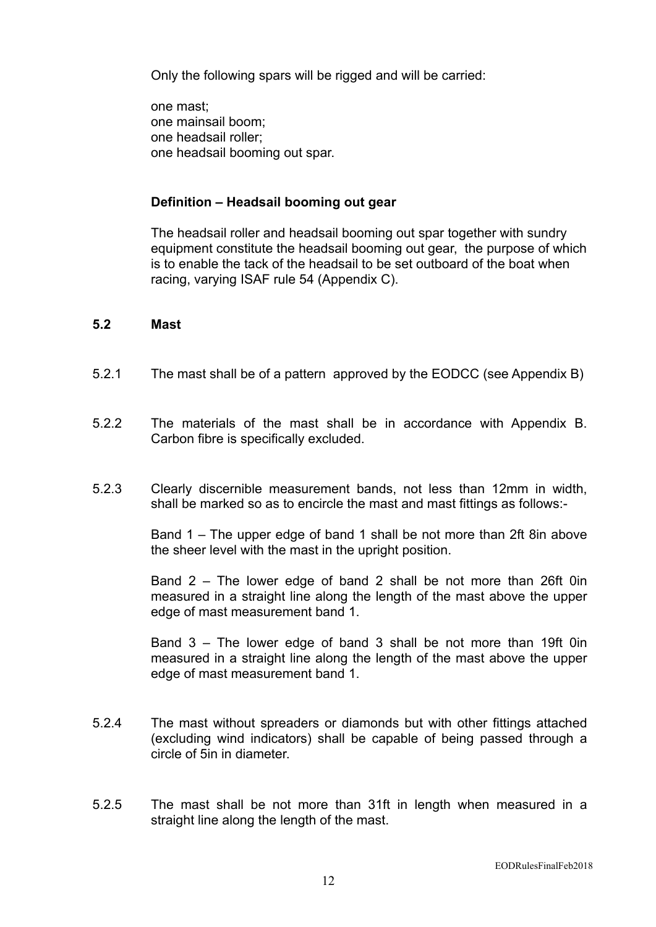Only the following spars will be rigged and will be carried:

one mast; one mainsail boom; one headsail roller; one headsail booming out spar.

#### **Definition – Headsail booming out gear**

The headsail roller and headsail booming out spar together with sundry equipment constitute the headsail booming out gear, the purpose of which is to enable the tack of the headsail to be set outboard of the boat when racing, varying ISAF rule 54 (Appendix C).

#### **5.2 Mast**

- 5.2.1 The mast shall be of a pattern approved by the EODCC (see Appendix B)
- 5.2.2 The materials of the mast shall be in accordance with Appendix B. Carbon fibre is specifically excluded.
- 5.2.3 Clearly discernible measurement bands, not less than 12mm in width, shall be marked so as to encircle the mast and mast fittings as follows:-

Band 1 – The upper edge of band 1 shall be not more than 2ft 8in above the sheer level with the mast in the upright position.

Band 2 – The lower edge of band 2 shall be not more than 26ft 0in measured in a straight line along the length of the mast above the upper edge of mast measurement band 1.

Band 3 – The lower edge of band 3 shall be not more than 19ft 0in measured in a straight line along the length of the mast above the upper edge of mast measurement band 1.

- 5.2.4 The mast without spreaders or diamonds but with other fittings attached (excluding wind indicators) shall be capable of being passed through a circle of 5in in diameter.
- 5.2.5 The mast shall be not more than 31ft in length when measured in a straight line along the length of the mast.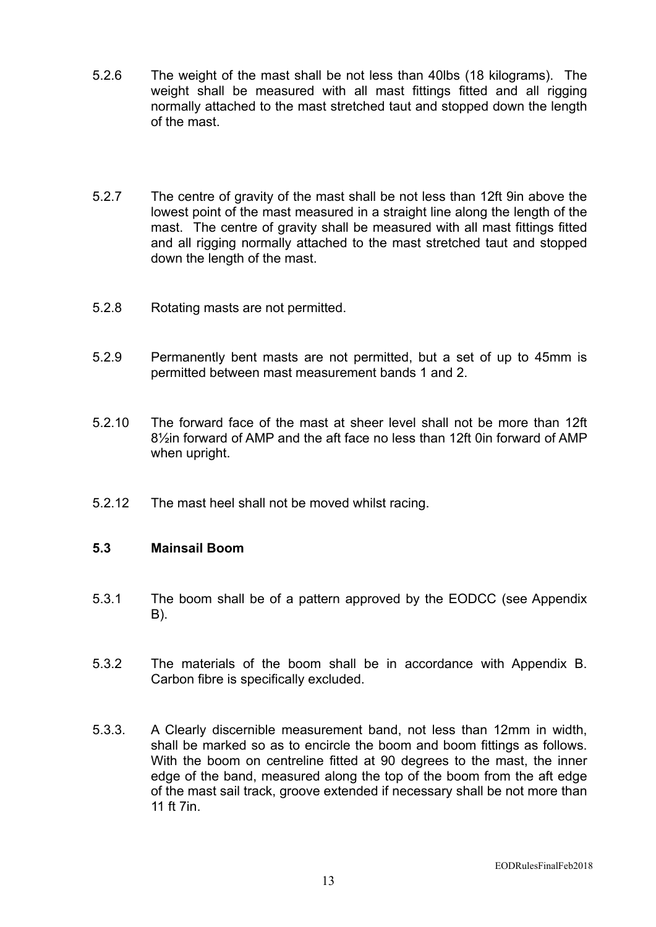- 5.2.6 The weight of the mast shall be not less than 40lbs (18 kilograms). The weight shall be measured with all mast fittings fitted and all rigging normally attached to the mast stretched taut and stopped down the length of the mast.
- 5.2.7 The centre of gravity of the mast shall be not less than 12ft 9in above the lowest point of the mast measured in a straight line along the length of the mast. The centre of gravity shall be measured with all mast fittings fitted and all rigging normally attached to the mast stretched taut and stopped down the length of the mast.
- 5.2.8 Rotating masts are not permitted.
- 5.2.9 Permanently bent masts are not permitted, but a set of up to 45mm is permitted between mast measurement bands 1 and 2.
- 5.2.10 The forward face of the mast at sheer level shall not be more than 12ft 8½in forward of AMP and the aft face no less than 12ft 0in forward of AMP when upright.
- 5.2.12 The mast heel shall not be moved whilst racing.

#### **5.3 Mainsail Boom**

- 5.3.1 The boom shall be of a pattern approved by the EODCC (see Appendix B).
- 5.3.2 The materials of the boom shall be in accordance with Appendix B. Carbon fibre is specifically excluded.
- 5.3.3. A Clearly discernible measurement band, not less than 12mm in width, shall be marked so as to encircle the boom and boom fittings as follows. With the boom on centreline fitted at 90 degrees to the mast, the inner edge of the band, measured along the top of the boom from the aft edge of the mast sail track, groove extended if necessary shall be not more than 11 ft 7in.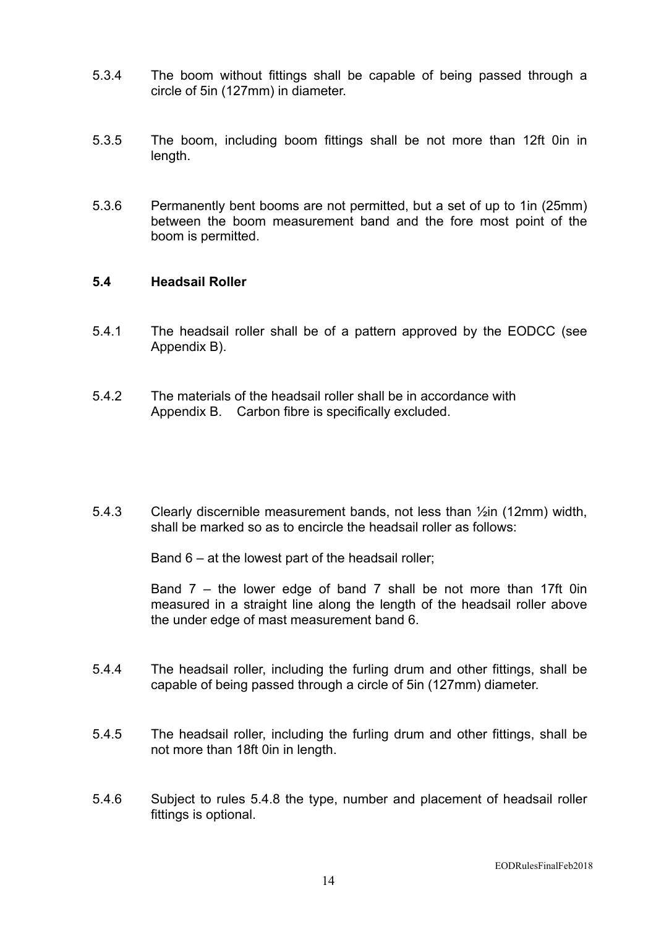- 5.3.4 The boom without fittings shall be capable of being passed through a circle of 5in (127mm) in diameter.
- 5.3.5 The boom, including boom fittings shall be not more than 12ft 0in in length.
- 5.3.6 Permanently bent booms are not permitted, but a set of up to 1in (25mm) between the boom measurement band and the fore most point of the boom is permitted.

#### **5.4 Headsail Roller**

- 5.4.1 The headsail roller shall be of a pattern approved by the EODCC (see Appendix B).
- 5.4.2 The materials of the headsail roller shall be in accordance with Appendix B. Carbon fibre is specifically excluded.
- 5.4.3 Clearly discernible measurement bands, not less than ½in (12mm) width, shall be marked so as to encircle the headsail roller as follows:

Band 6 – at the lowest part of the headsail roller;

Band 7 – the lower edge of band 7 shall be not more than 17ft 0in measured in a straight line along the length of the headsail roller above the under edge of mast measurement band 6.

- 5.4.4 The headsail roller, including the furling drum and other fittings, shall be capable of being passed through a circle of 5in (127mm) diameter.
- 5.4.5 The headsail roller, including the furling drum and other fittings, shall be not more than 18ft 0in in length.
- 5.4.6 Subject to rules 5.4.8 the type, number and placement of headsail roller fittings is optional.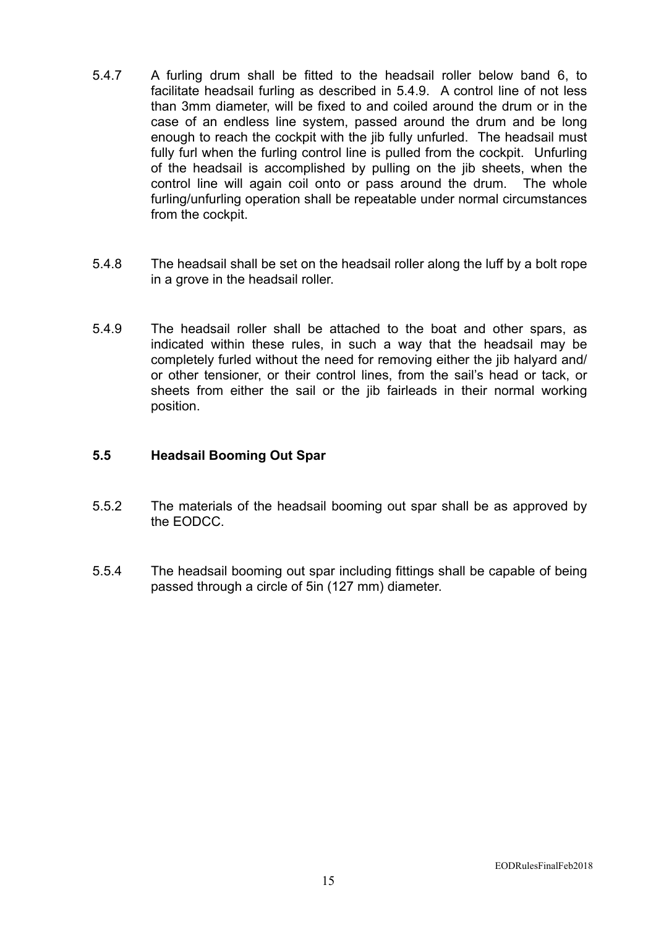- 5.4.7 A furling drum shall be fitted to the headsail roller below band 6, to facilitate headsail furling as described in 5.4.9. A control line of not less than 3mm diameter, will be fixed to and coiled around the drum or in the case of an endless line system, passed around the drum and be long enough to reach the cockpit with the jib fully unfurled. The headsail must fully furl when the furling control line is pulled from the cockpit. Unfurling of the headsail is accomplished by pulling on the jib sheets, when the control line will again coil onto or pass around the drum. The whole furling/unfurling operation shall be repeatable under normal circumstances from the cockpit.
- 5.4.8 The headsail shall be set on the headsail roller along the luff by a bolt rope in a grove in the headsail roller.
- 5.4.9 The headsail roller shall be attached to the boat and other spars, as indicated within these rules, in such a way that the headsail may be completely furled without the need for removing either the jib halyard and/ or other tensioner, or their control lines, from the sail's head or tack, or sheets from either the sail or the jib fairleads in their normal working position.

#### **5.5 Headsail Booming Out Spar**

- 5.5.2 The materials of the headsail booming out spar shall be as approved by the EODCC.
- 5.5.4 The headsail booming out spar including fittings shall be capable of being passed through a circle of 5in (127 mm) diameter.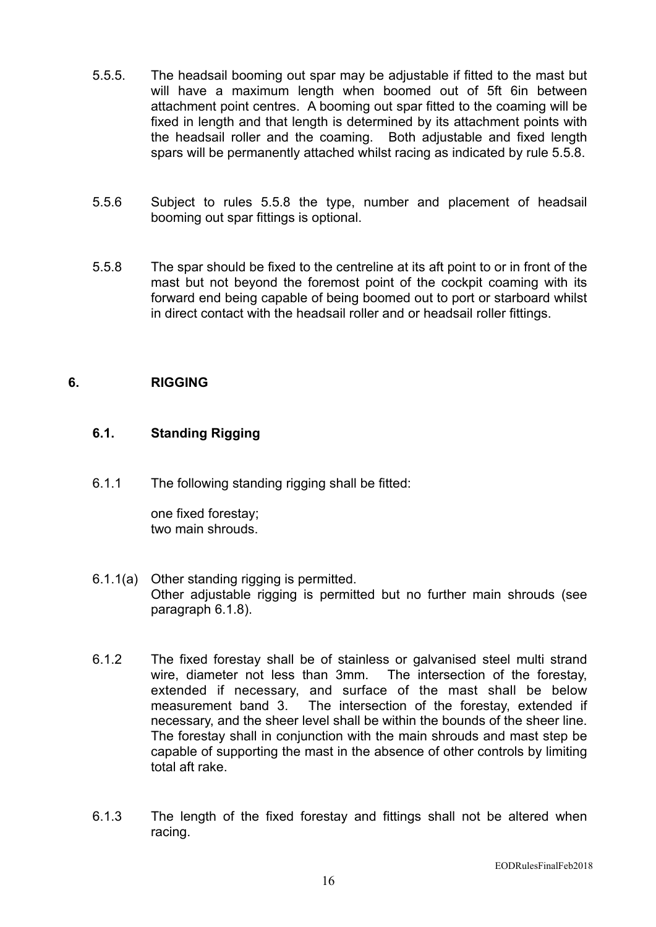- 5.5.5. The headsail booming out spar may be adjustable if fitted to the mast but will have a maximum length when boomed out of 5ft 6in between attachment point centres. A booming out spar fitted to the coaming will be fixed in length and that length is determined by its attachment points with the headsail roller and the coaming. Both adjustable and fixed length spars will be permanently attached whilst racing as indicated by rule 5.5.8.
- 5.5.6 Subject to rules 5.5.8 the type, number and placement of headsail booming out spar fittings is optional.
- 5.5.8 The spar should be fixed to the centreline at its aft point to or in front of the mast but not beyond the foremost point of the cockpit coaming with its forward end being capable of being boomed out to port or starboard whilst in direct contact with the headsail roller and or headsail roller fittings.

## **6. RIGGING**

#### **6.1. Standing Rigging**

6.1.1 The following standing rigging shall be fitted:

one fixed forestay; two main shrouds.

- 6.1.1(a) Other standing rigging is permitted. Other adjustable rigging is permitted but no further main shrouds (see paragraph 6.1.8).
- 6.1.2 The fixed forestay shall be of stainless or galvanised steel multi strand wire, diameter not less than 3mm. The intersection of the forestay, extended if necessary, and surface of the mast shall be below measurement band 3. The intersection of the forestay, extended if necessary, and the sheer level shall be within the bounds of the sheer line. The forestay shall in conjunction with the main shrouds and mast step be capable of supporting the mast in the absence of other controls by limiting total aft rake.
- 6.1.3 The length of the fixed forestay and fittings shall not be altered when racing.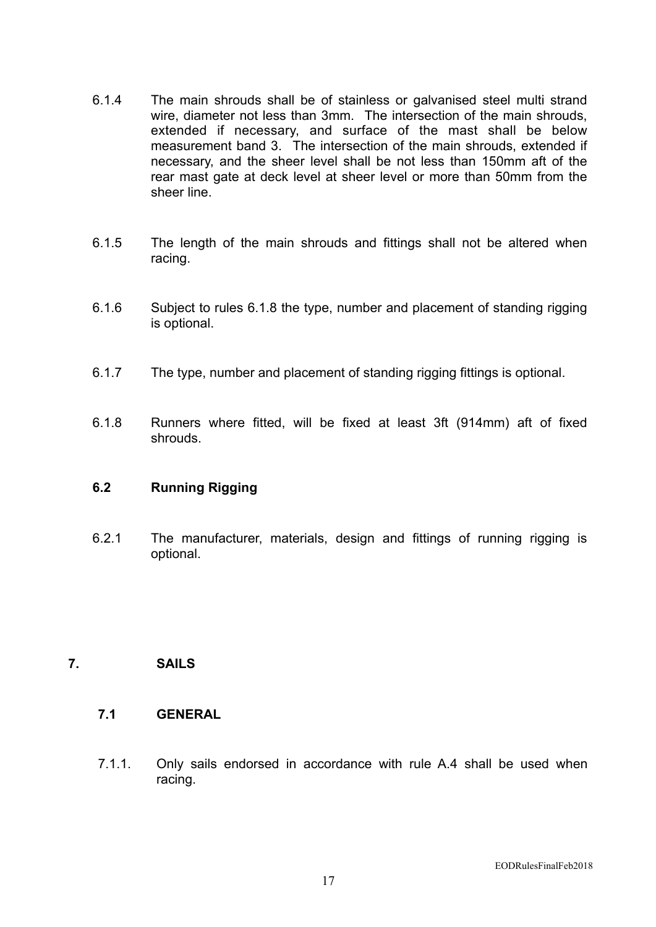- 6.1.4 The main shrouds shall be of stainless or galvanised steel multi strand wire, diameter not less than 3mm. The intersection of the main shrouds, extended if necessary, and surface of the mast shall be below measurement band 3. The intersection of the main shrouds, extended if necessary, and the sheer level shall be not less than 150mm aft of the rear mast gate at deck level at sheer level or more than 50mm from the sheer line.
- 6.1.5 The length of the main shrouds and fittings shall not be altered when racing.
- 6.1.6 Subject to rules 6.1.8 the type, number and placement of standing rigging is optional.
- 6.1.7 The type, number and placement of standing rigging fittings is optional.
- 6.1.8 Runners where fitted, will be fixed at least 3ft (914mm) aft of fixed shrouds.

## **6.2 Running Rigging**

6.2.1 The manufacturer, materials, design and fittings of running rigging is optional.

## **7. SAILS**

## **7.1 GENERAL**

7.1.1. Only sails endorsed in accordance with rule A.4 shall be used when racing.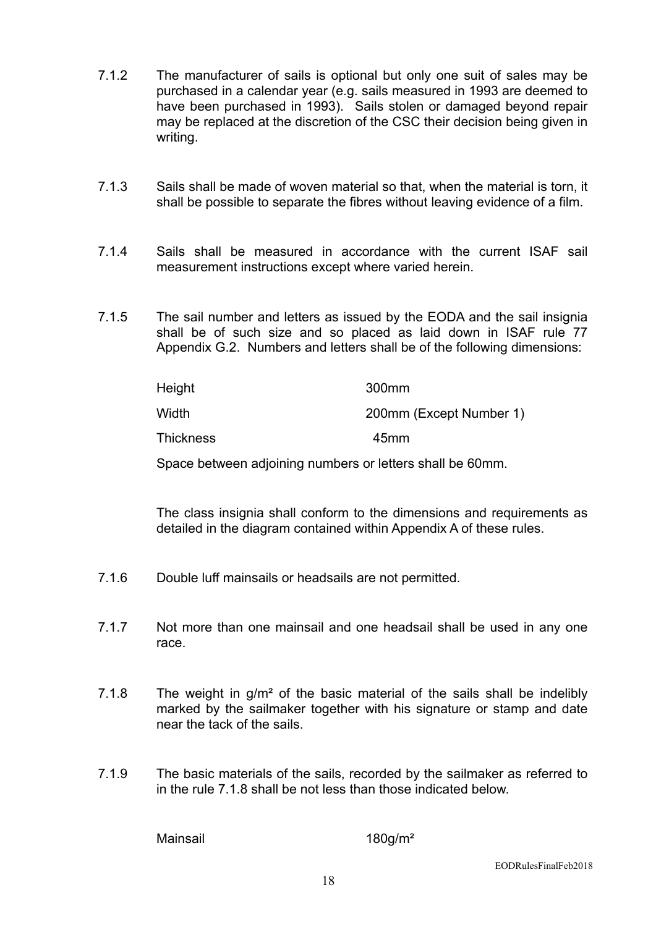- 7.1.2 The manufacturer of sails is optional but only one suit of sales may be purchased in a calendar year (e.g. sails measured in 1993 are deemed to have been purchased in 1993). Sails stolen or damaged beyond repair may be replaced at the discretion of the CSC their decision being given in writing.
- 7.1.3 Sails shall be made of woven material so that, when the material is torn, it shall be possible to separate the fibres without leaving evidence of a film.
- 7.1.4 Sails shall be measured in accordance with the current ISAF sail measurement instructions except where varied herein.
- 7.1.5 The sail number and letters as issued by the EODA and the sail insignia shall be of such size and so placed as laid down in ISAF rule 77 Appendix G.2. Numbers and letters shall be of the following dimensions:

| Height           | 300 <sub>mm</sub>       |
|------------------|-------------------------|
| Width            | 200mm (Except Number 1) |
| <b>Thickness</b> | 45mm                    |

Space between adjoining numbers or letters shall be 60mm.

The class insignia shall conform to the dimensions and requirements as detailed in the diagram contained within Appendix A of these rules.

- 7.1.6 Double luff mainsails or headsails are not permitted.
- 7.1.7 Not more than one mainsail and one headsail shall be used in any one race.
- 7.1.8 The weight in g/m<sup>2</sup> of the basic material of the sails shall be indelibly marked by the sailmaker together with his signature or stamp and date near the tack of the sails.
- 7.1.9 The basic materials of the sails, recorded by the sailmaker as referred to in the rule 7.1.8 shall be not less than those indicated below.

Mainsail 180g/m<sup>2</sup>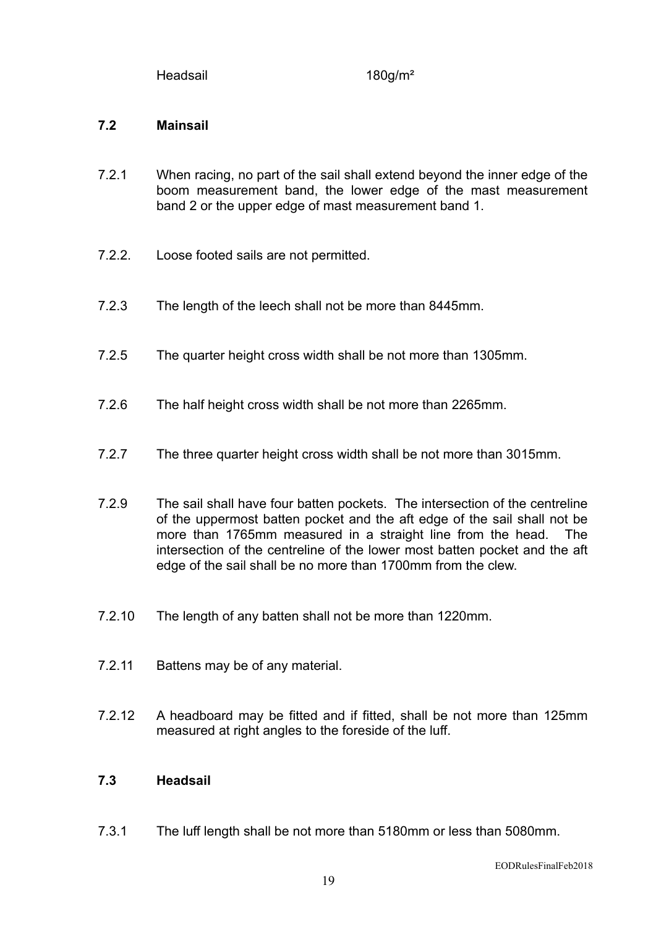Headsail 180g/m<sup>2</sup>

## **7.2 Mainsail**

- 7.2.1 When racing, no part of the sail shall extend beyond the inner edge of the boom measurement band, the lower edge of the mast measurement band 2 or the upper edge of mast measurement band 1.
- 7.2.2. Loose footed sails are not permitted.
- 7.2.3 The length of the leech shall not be more than 8445mm.
- 7.2.5 The quarter height cross width shall be not more than 1305mm.
- 7.2.6 The half height cross width shall be not more than 2265mm.
- 7.2.7 The three quarter height cross width shall be not more than 3015mm.
- 7.2.9 The sail shall have four batten pockets. The intersection of the centreline of the uppermost batten pocket and the aft edge of the sail shall not be more than 1765mm measured in a straight line from the head. The intersection of the centreline of the lower most batten pocket and the aft edge of the sail shall be no more than 1700mm from the clew.
- 7.2.10 The length of any batten shall not be more than 1220mm.
- 7.2.11 Battens may be of any material.
- 7.2.12 A headboard may be fitted and if fitted, shall be not more than 125mm measured at right angles to the foreside of the luff.

#### **7.3 Headsail**

7.3.1 The luff length shall be not more than 5180mm or less than 5080mm.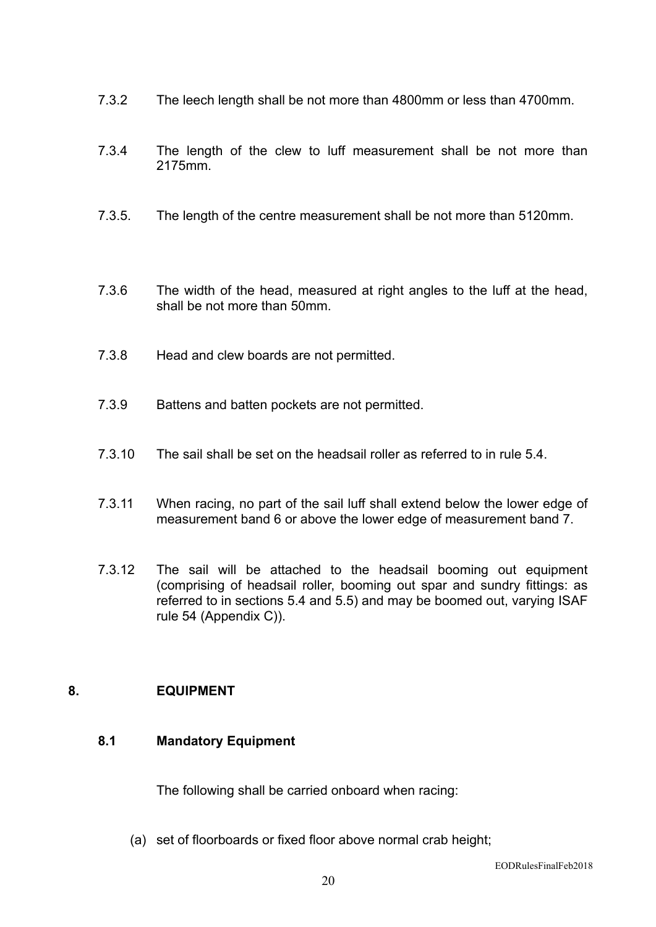- 7.3.2 The leech length shall be not more than 4800mm or less than 4700mm.
- 7.3.4 The length of the clew to luff measurement shall be not more than 2175mm.
- 7.3.5. The length of the centre measurement shall be not more than 5120mm.
- 7.3.6 The width of the head, measured at right angles to the luff at the head, shall be not more than 50mm.
- 7.3.8 Head and clew boards are not permitted.
- 7.3.9 Battens and batten pockets are not permitted.
- 7.3.10 The sail shall be set on the headsail roller as referred to in rule 5.4.
- 7.3.11 When racing, no part of the sail luff shall extend below the lower edge of measurement band 6 or above the lower edge of measurement band 7.
- 7.3.12 The sail will be attached to the headsail booming out equipment (comprising of headsail roller, booming out spar and sundry fittings: as referred to in sections 5.4 and 5.5) and may be boomed out, varying ISAF rule 54 (Appendix C)).

#### **8. EQUIPMENT**

## **8.1 Mandatory Equipment**

The following shall be carried onboard when racing:

(a) set of floorboards or fixed floor above normal crab height;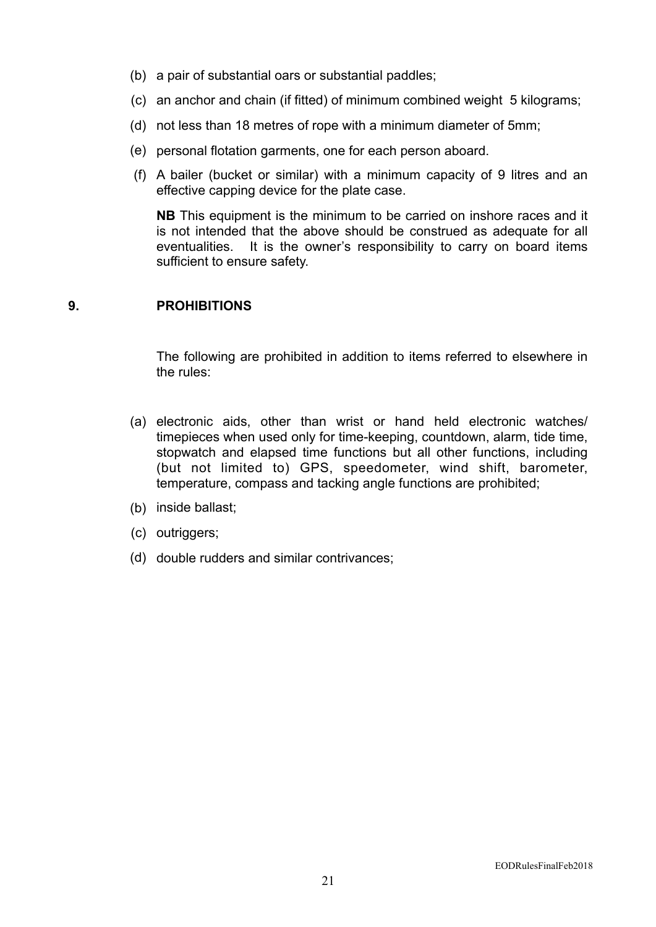- (b) a pair of substantial oars or substantial paddles;
- (c) an anchor and chain (if fitted) of minimum combined weight 5 kilograms;
- (d) not less than 18 metres of rope with a minimum diameter of 5mm;
- (e) personal flotation garments, one for each person aboard.
- (f) A bailer (bucket or similar) with a minimum capacity of 9 litres and an effective capping device for the plate case.

**NB** This equipment is the minimum to be carried on inshore races and it is not intended that the above should be construed as adequate for all eventualities. It is the owner's responsibility to carry on board items sufficient to ensure safety.

#### **9. PROHIBITIONS**

The following are prohibited in addition to items referred to elsewhere in the rules:

- (a) electronic aids, other than wrist or hand held electronic watches/ timepieces when used only for time-keeping, countdown, alarm, tide time, stopwatch and elapsed time functions but all other functions, including (but not limited to) GPS, speedometer, wind shift, barometer, temperature, compass and tacking angle functions are prohibited;
- (b) inside ballast;
- (c) outriggers;
- (d) double rudders and similar contrivances;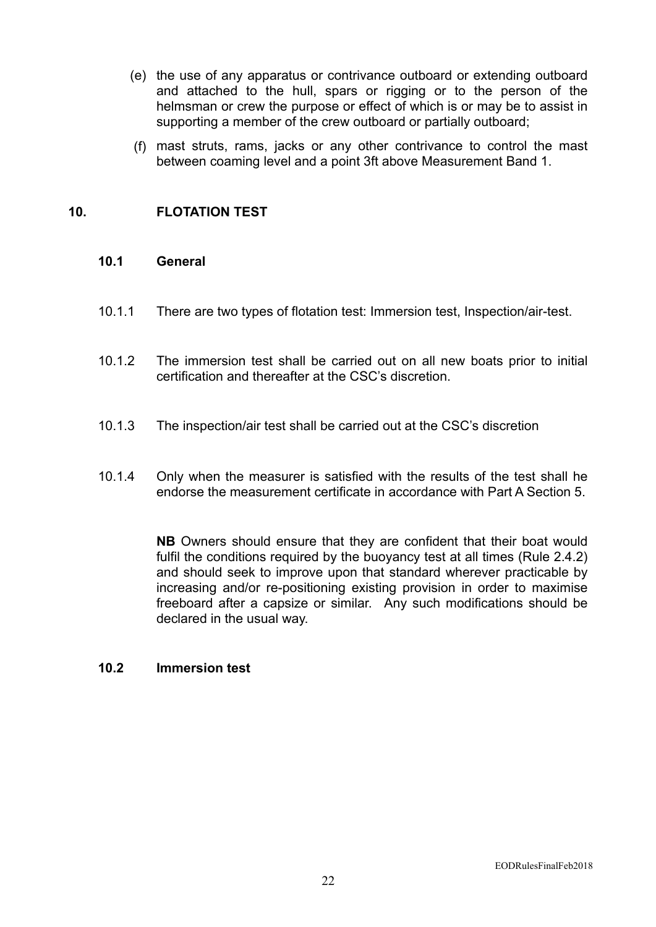- (e) the use of any apparatus or contrivance outboard or extending outboard and attached to the hull, spars or rigging or to the person of the helmsman or crew the purpose or effect of which is or may be to assist in supporting a member of the crew outboard or partially outboard;
- (f) mast struts, rams, jacks or any other contrivance to control the mast between coaming level and a point 3ft above Measurement Band 1.

## **10. FLOTATION TEST**

#### **10.1 General**

- 10.1.1 There are two types of flotation test: Immersion test, Inspection/air-test.
- 10.1.2 The immersion test shall be carried out on all new boats prior to initial certification and thereafter at the CSC's discretion.
- 10.1.3 The inspection/air test shall be carried out at the CSC's discretion
- 10.1.4 Only when the measurer is satisfied with the results of the test shall he endorse the measurement certificate in accordance with Part A Section 5.

**NB** Owners should ensure that they are confident that their boat would fulfil the conditions required by the buoyancy test at all times (Rule 2.4.2) and should seek to improve upon that standard wherever practicable by increasing and/or re-positioning existing provision in order to maximise freeboard after a capsize or similar. Any such modifications should be declared in the usual way.

#### **10.2 Immersion test**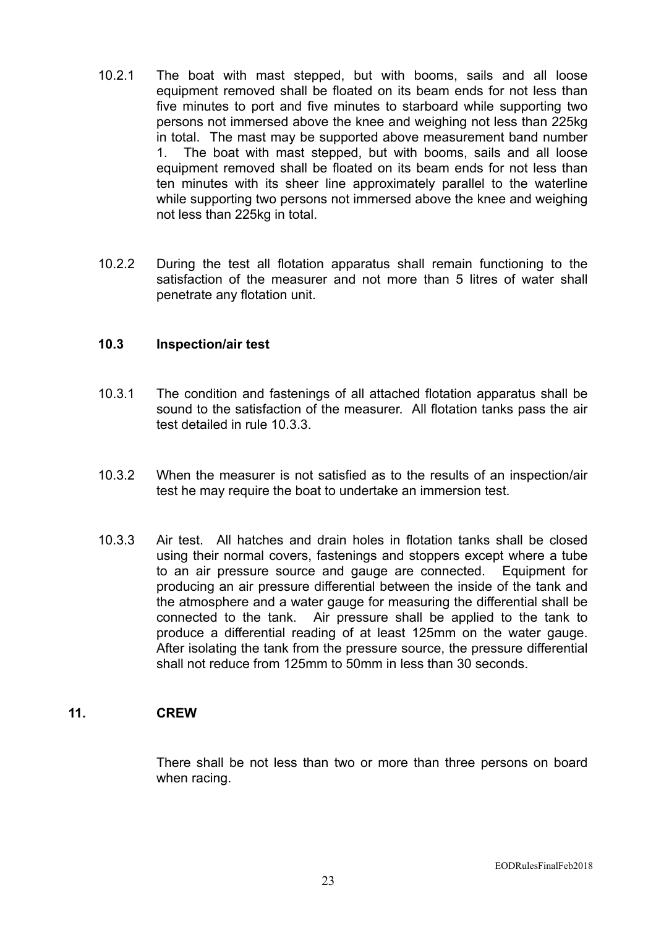- 10.2.1 The boat with mast stepped, but with booms, sails and all loose equipment removed shall be floated on its beam ends for not less than five minutes to port and five minutes to starboard while supporting two persons not immersed above the knee and weighing not less than 225kg in total. The mast may be supported above measurement band number 1. The boat with mast stepped, but with booms, sails and all loose equipment removed shall be floated on its beam ends for not less than ten minutes with its sheer line approximately parallel to the waterline while supporting two persons not immersed above the knee and weighing not less than 225kg in total.
- 10.2.2 During the test all flotation apparatus shall remain functioning to the satisfaction of the measurer and not more than 5 litres of water shall penetrate any flotation unit.

#### **10.3 Inspection/air test**

- 10.3.1 The condition and fastenings of all attached flotation apparatus shall be sound to the satisfaction of the measurer. All flotation tanks pass the air test detailed in rule 10.3.3.
- 10.3.2 When the measurer is not satisfied as to the results of an inspection/air test he may require the boat to undertake an immersion test.
- 10.3.3 Air test. All hatches and drain holes in flotation tanks shall be closed using their normal covers, fastenings and stoppers except where a tube to an air pressure source and gauge are connected. Equipment for producing an air pressure differential between the inside of the tank and the atmosphere and a water gauge for measuring the differential shall be connected to the tank. Air pressure shall be applied to the tank to produce a differential reading of at least 125mm on the water gauge. After isolating the tank from the pressure source, the pressure differential shall not reduce from 125mm to 50mm in less than 30 seconds.

#### **11. CREW**

There shall be not less than two or more than three persons on board when racing.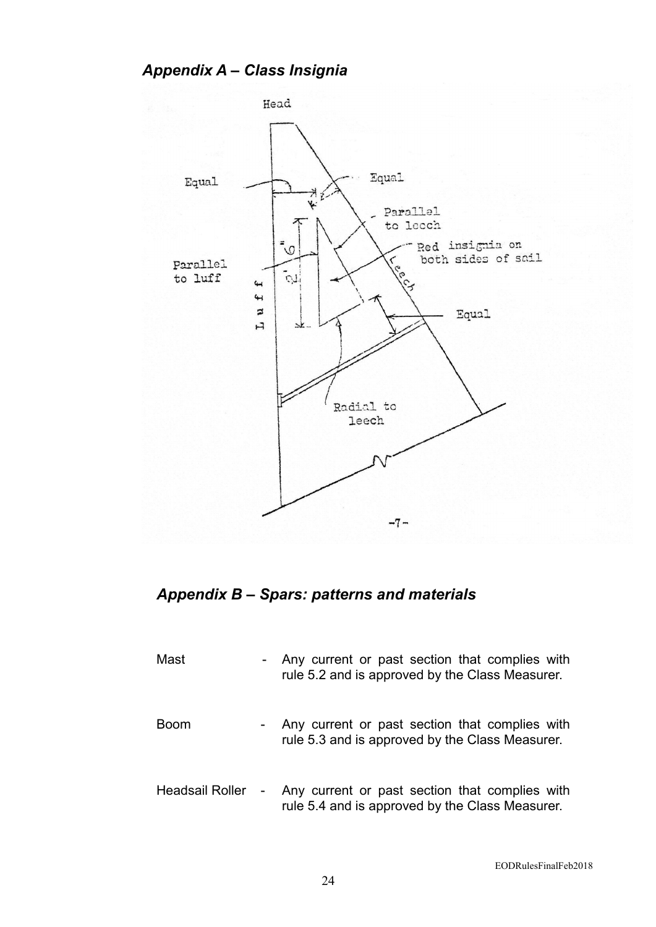*Appendix A – Class Insignia* 



# *Appendix B – Spars: patterns and materials*

| Mast                   | $\sim$ | Any current or past section that complies with<br>rule 5.2 and is approved by the Class Measurer. |
|------------------------|--------|---------------------------------------------------------------------------------------------------|
| <b>Boom</b>            | $\sim$ | Any current or past section that complies with<br>rule 5.3 and is approved by the Class Measurer. |
| <b>Headsail Roller</b> | $\sim$ | Any current or past section that complies with<br>rule 5.4 and is approved by the Class Measurer. |